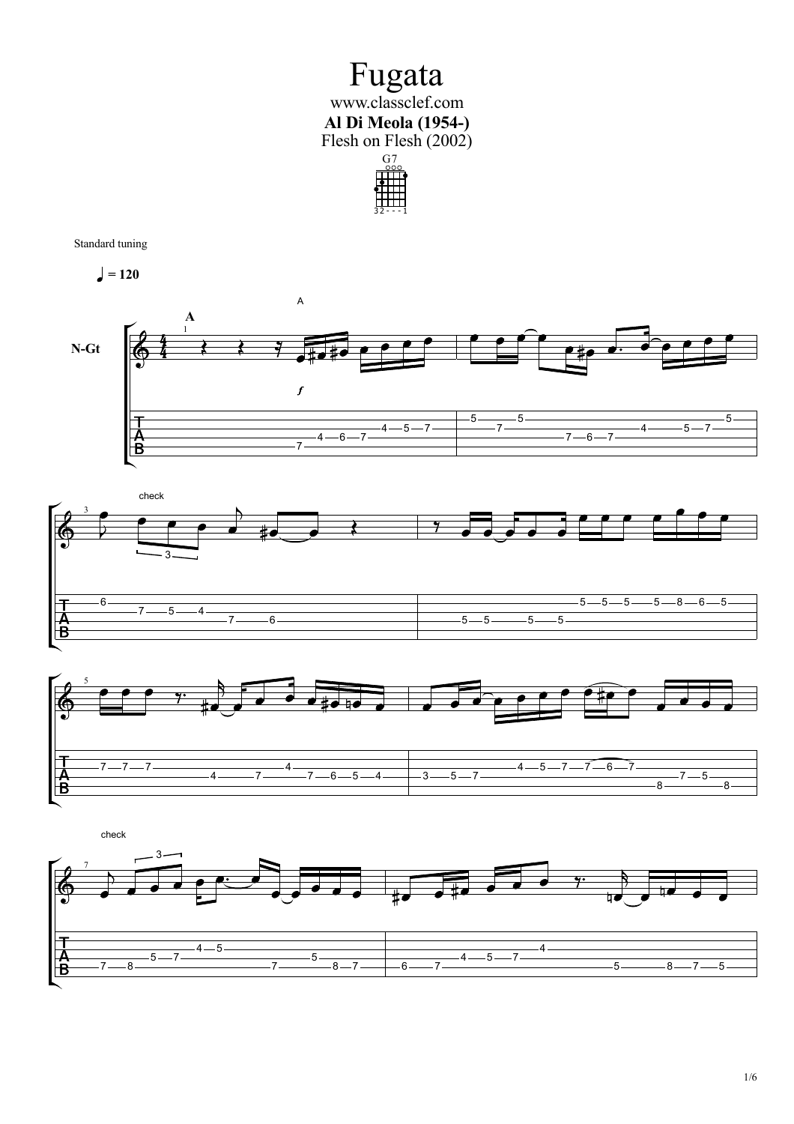## Fugata www.classclef.com **Al Di Meola (1954-)** Flesh on Flesh (2002)



Standard tuning

 $= 120$ 







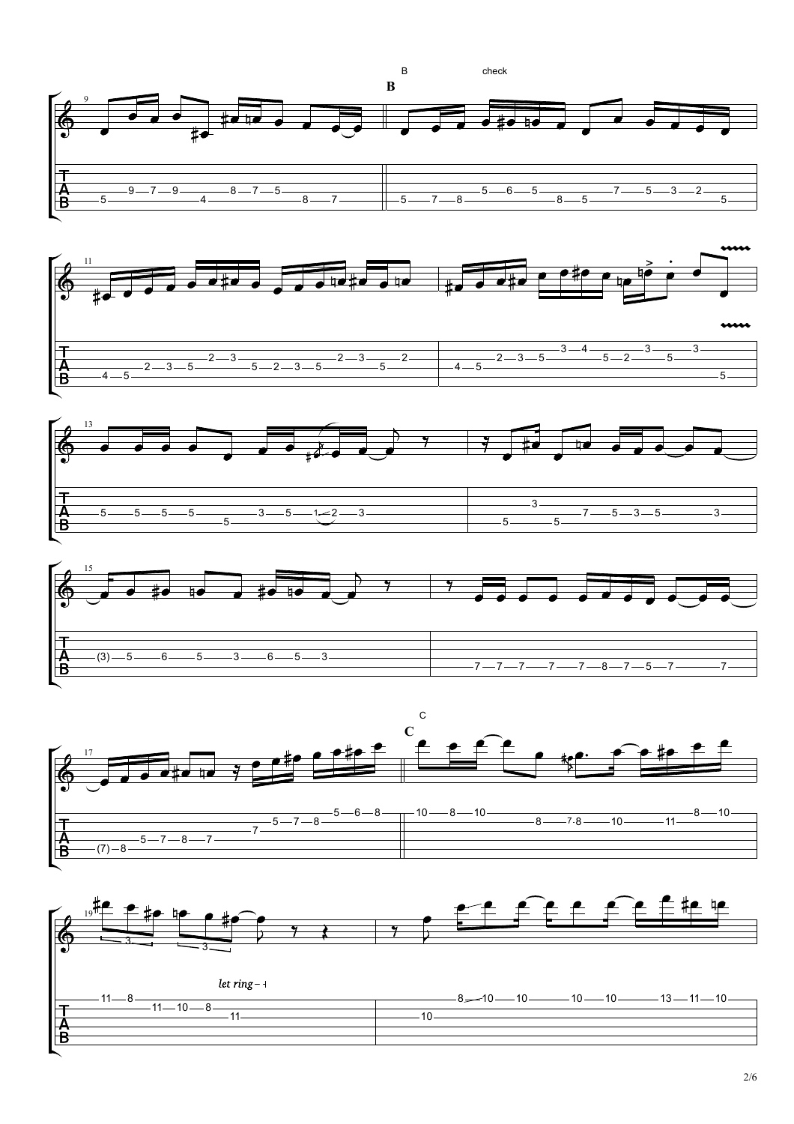









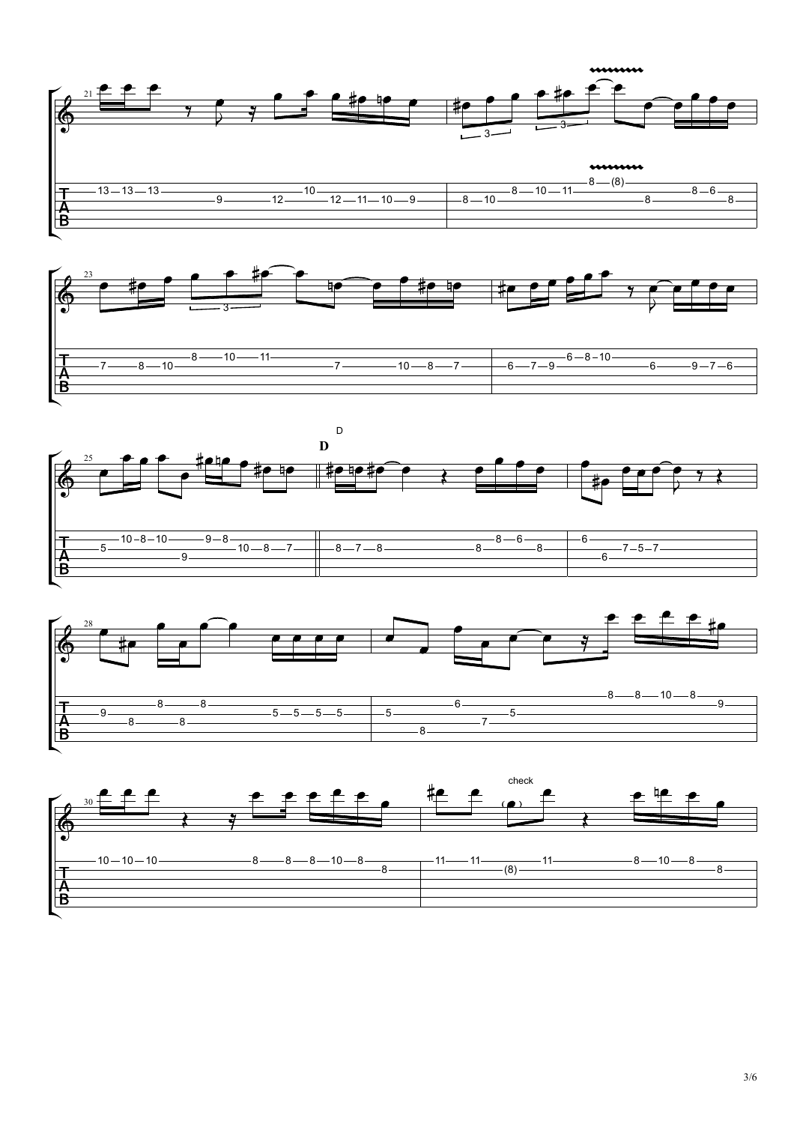









3/6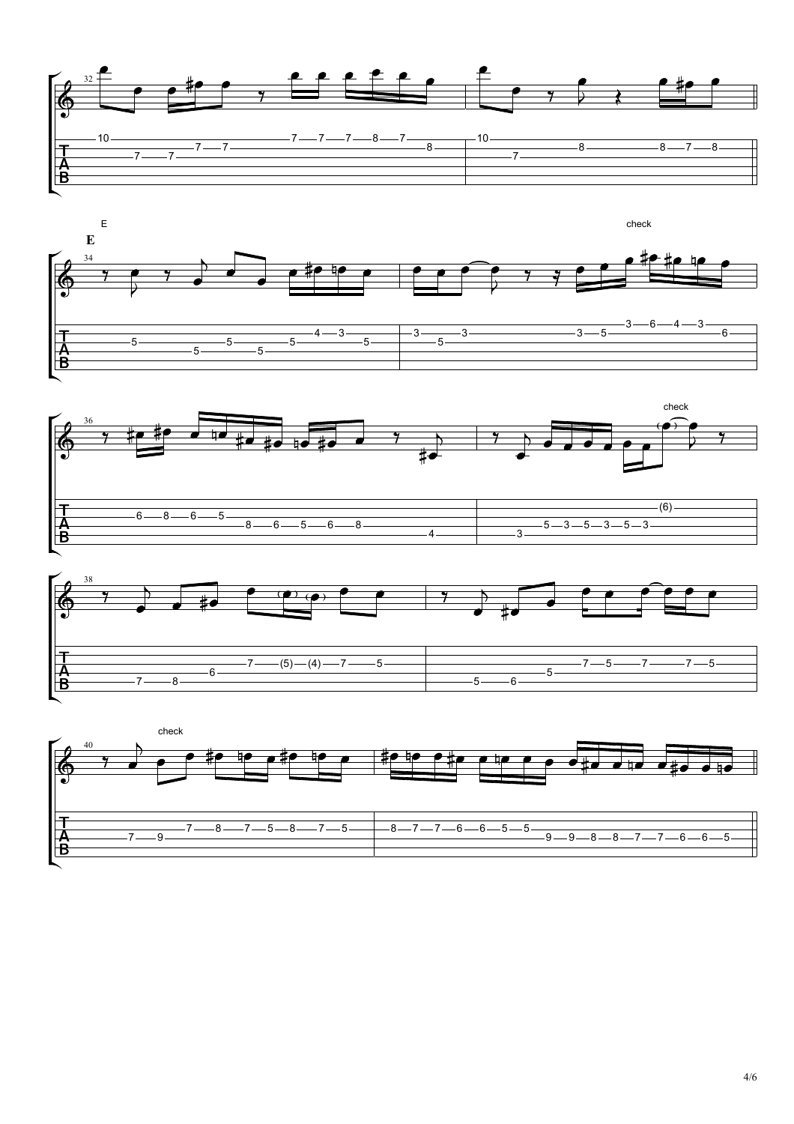







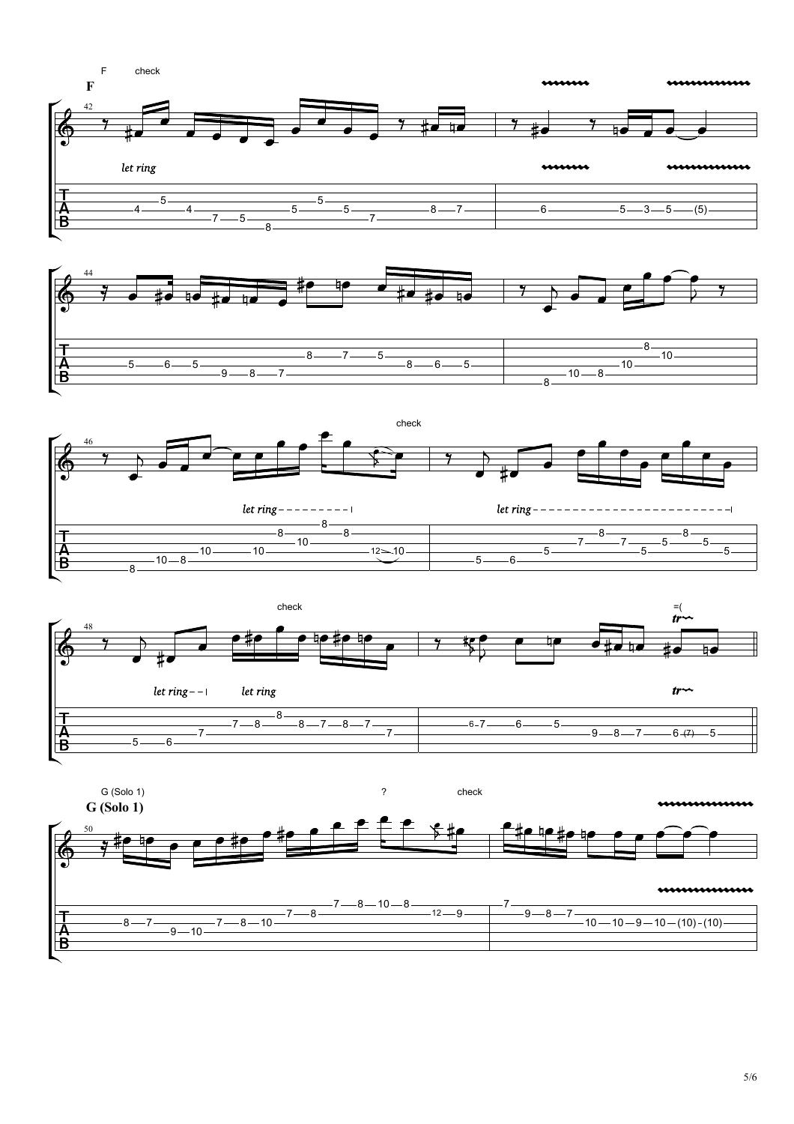